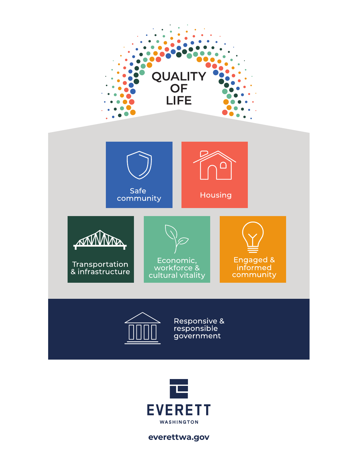



**everettwa.gov**